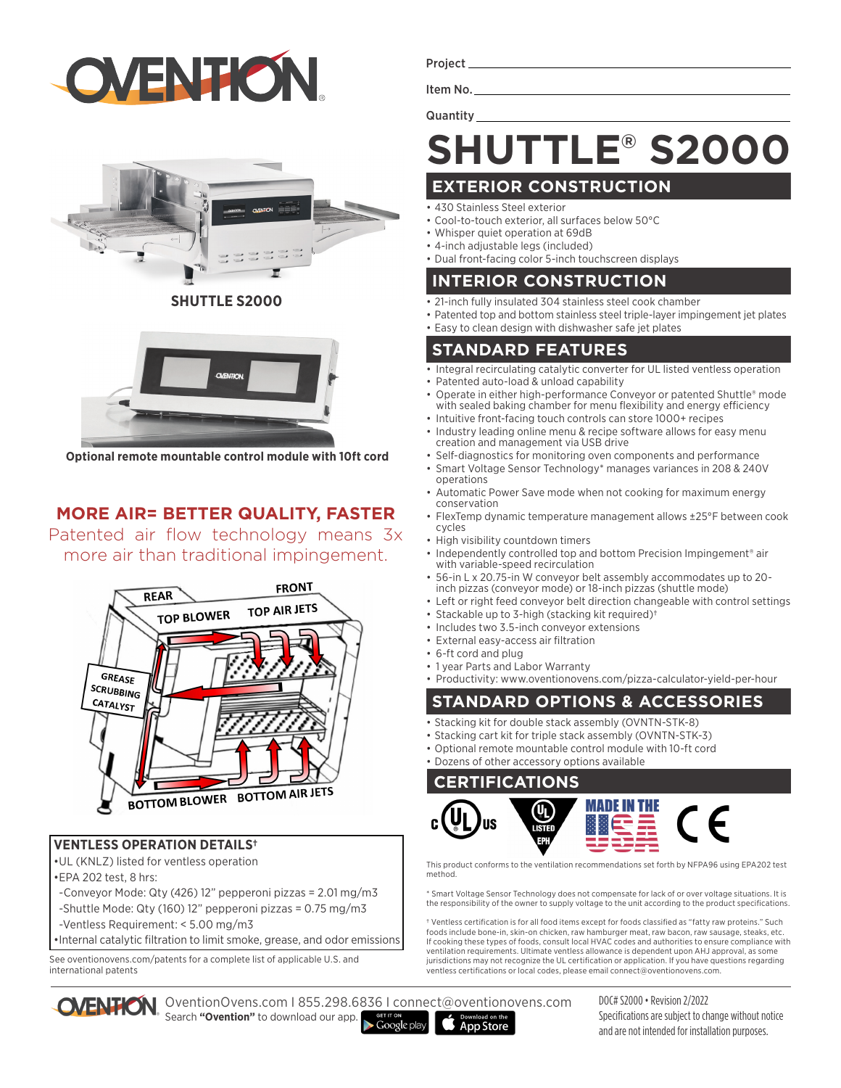



**SHUTTLE S2000**



**Optional remote mountable control module with 10ft cord**

## **MORE AIR= BETTER QUALITY, FASTER**

Patented air flow technology means 3x more air than traditional impingement.



#### **VENTLESS OPERATION DETAILS†**

•UL (KNLZ) listed for ventless operation

- •EPA 202 test, 8 hrs:
- -Conveyor Mode: Qty (426) 12" pepperoni pizzas = 2.01 mg/m3
- -Shuttle Mode: Qty (160) 12" pepperoni pizzas = 0.75 mg/m3
- -Ventless Requirement: < 5.00 mg/m3

•Internal catalytic filtration to limit smoke, grease, and odor emissions

See oventionovens.com/patents for a complete list of applicable U.S. and international patents

Project

Item No. Quantity

# **SHUTTLE® S2000**

## **EXTERIOR CONSTRUCTION**

- 430 Stainless Steel exterior
- Cool-to-touch exterior, all surfaces below 50°C
- Whisper quiet operation at 69dB • 4-inch adjustable legs (included)
- Dual front-facing color 5-inch touchscreen displays

### **INTERIOR CONSTRUCTION**

- 21-inch fully insulated 304 stainless steel cook chamber
- Patented top and bottom stainless steel triple-layer impingement jet plates
- Easy to clean design with dishwasher safe jet plates

### **STANDARD FEATURES**

- Integral recirculating catalytic converter for UL listed ventless operation • Patented auto-load & unload capability
- Operate in either high-performance Conveyor or patented Shuttle® mode with sealed baking chamber for menu flexibility and energy efficiency
- Intuitive front-facing touch controls can store 1000+ recipes
- Industry leading online menu & recipe software allows for easy menu creation and management via USB drive
- Self-diagnostics for monitoring oven components and performance
- Smart Voltage Sensor Technology\* manages variances in 208 & 240V operations
- Automatic Power Save mode when not cooking for maximum energy conservation
- FlexTemp dynamic temperature management allows ±25°F between cook cycles
- High visibility countdown timers
- Independently controlled top and bottom Precision Impingement<sup>®</sup> air with variable-speed recirculation
- 56-in L x 20.75-in W conveyor belt assembly accommodates up to 20 inch pizzas (conveyor mode) or 18-inch pizzas (shuttle mode)
- Left or right feed conveyor belt direction changeable with control settings
- Stackable up to 3-high (stacking kit required)†
- Includes two 3.5-inch conveyor extensions
- External easy-access air filtration
- 6-ft cord and plug
- 1 year Parts and Labor Warranty

• Productivity: www.oventionovens.com/pizza-calculator-yield-per-hour

## **STANDARD OPTIONS & ACCESSORIES**

- Stacking kit for double stack assembly (OVNTN-STK-8)
- Stacking cart kit for triple stack assembly (OVNTN-STK-3)
- Optional remote mountable control module with 10-ft cord
- Dozens of other accessory options available

#### **CERTIFICATIONS**



This product conforms to the ventilation recommendations set forth by NFPA96 using EPA202 test method.

\* Smart Voltage Sensor Technology does not compensate for lack of or over voltage situations. It is the responsibility of the owner to supply voltage to the unit according to the product specifications.

† Ventless certification is for all food items except for foods classified as "fatty raw proteins." Such foods include bone-in, skin-on chicken, raw hamburger meat, raw bacon, raw sausage, steaks, etc. If cooking these types of foods, consult local HVAC codes and authorities to ensure compliance with ventilation requirements. Ultimate ventless allowance is dependent upon AHJ approval, as some jurisdictions may not recognize the UL certification or application. If you have questions regarding ventless certifications or local codes, please email connect@oventionovens.com.

OventionOvens.com I 855.298.6836 I connect@oventionovens.com Search **"Ovention"** to download our app. Google play



DOC# S2000 • Revision 2/2022 Specifications are subject to change without notice and are not intended for installation purposes.